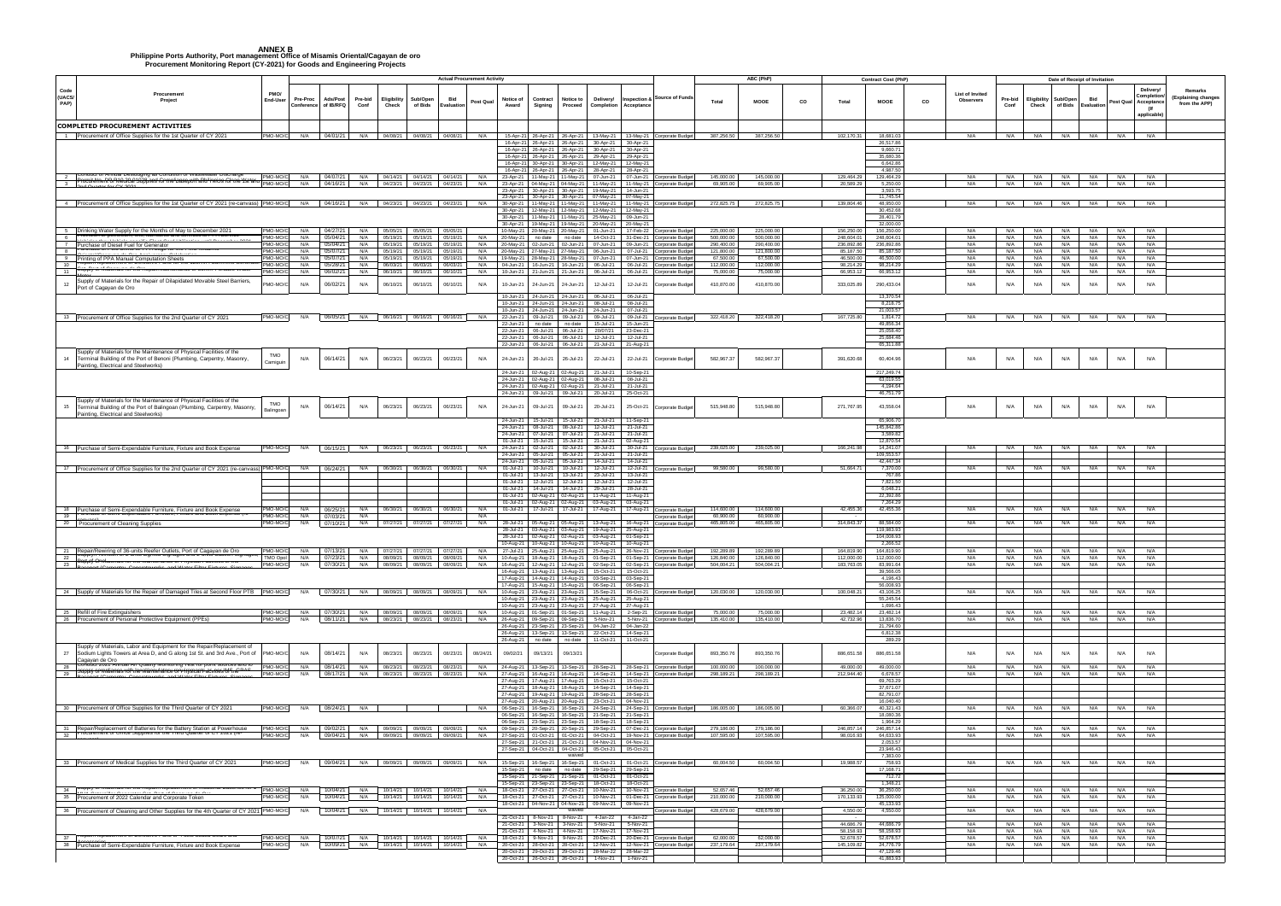## **ANNEX B Philippine Ports Authority, Port management Office of Misamis Oriental/Cagayan de oro Procurement Monitoring Report (CY-2021) for Goods and Engineering Projects**

|                                                                                                                                                                                      |                            |                        |                           |                       |                      |                                                                                                                          | <b>Actual Procurement Activity</b> |            |                                      |                                                                                             |                                                               |                                     |                                                                                   |                                                                              |                          | ABC (PhP)                |    | <b>Contract Cost (PhP)</b>                           |    |                                     |                 |                      |                                | Date of Receipt of Invitation |                                                                             |                                                        |
|--------------------------------------------------------------------------------------------------------------------------------------------------------------------------------------|----------------------------|------------------------|---------------------------|-----------------------|----------------------|--------------------------------------------------------------------------------------------------------------------------|------------------------------------|------------|--------------------------------------|---------------------------------------------------------------------------------------------|---------------------------------------------------------------|-------------------------------------|-----------------------------------------------------------------------------------|------------------------------------------------------------------------------|--------------------------|--------------------------|----|------------------------------------------------------|----|-------------------------------------|-----------------|----------------------|--------------------------------|-------------------------------|-----------------------------------------------------------------------------|--------------------------------------------------------|
| Code<br>Procurement<br>(UACS/<br>Project<br>PAP)                                                                                                                                     | PMO/<br>End-User           | Pre-Proc<br>Conference | Ads/Post<br>of IB/RFQ     | Pre-bid<br>Conf       | Eligibility<br>Check | Sub/Oper<br>of Bids                                                                                                      | Bid<br>Evaluation                  | Post Qual  | Notice of<br>Award                   | Contract<br>Signing                                                                         | Notice to<br>Proceed                                          | Delivery/                           | Inspection &<br><b>Completion Acceptanc</b>                                       | <b>Source of Funds</b>                                                       | Total                    | <b>MOOE</b>              | co | Total<br>MOOE                                        | co | List of Invited<br><b>Observers</b> | Pre-bid<br>Conf | Eligibility<br>Check | Sub/Open<br>of Bids Evaluation | Bid                           | <b>Delivery</b><br>Completio<br>Post Qual Acceptance<br>- (If<br>applicable | <b>Remarks</b><br>(Explaining changes<br>from the APP) |
| <b>COMPLETED PROCUREMENT ACTIVITIES</b>                                                                                                                                              |                            |                        |                           |                       |                      |                                                                                                                          |                                    |            |                                      |                                                                                             |                                                               |                                     |                                                                                   |                                                                              |                          |                          |    |                                                      |    |                                     |                 |                      |                                |                               |                                                                             |                                                        |
| 1 Procurement of Office Supplies for the 1st Quarter of CY 2021                                                                                                                      | PMO-MO/C                   |                        | N/A 04/01/21              |                       |                      | N/A 04/08/21 04/08/21 04/08/21                                                                                           |                                    | N/A        | 15-Apr-21                            | 26-Apr-21                                                                                   | 26-Apr-21                                                     |                                     |                                                                                   | 13-May-21 13-May-21 Corporate Budget                                         | 387,256.50               | 387,256.50               |    | 102,170.31<br>18,681.03<br>26,517.86                 |    | N/A                                 |                 | N/A N/A              | N/A                            | N/A                           | N/A<br>N/A                                                                  |                                                        |
|                                                                                                                                                                                      |                            |                        |                           |                       |                      |                                                                                                                          |                                    |            | 16-Apr-21<br>16-Apr-21               | 16-Apr-21 26-Apr-21<br>26-Apr-21<br>26-Apr-21<br>16-Apr-21 30-Apr-21<br>16-Apr-21 26-Apr-21 | 26-Apr-21<br>26-Apr-21<br>26-Apr-21<br>30-Apr-21<br>26-Apr-21 | 30-Apr-21<br>29-Apr-21<br>12-May-21 | 30-Apr-21 30-Apr-21<br>30-Apr-21<br>29-Apr-21<br>12-May-21<br>28-Apr-21 28-Apr-21 |                                                                              |                          |                          |    | 9,660.71<br>35,680.36<br>6,642.86<br>4.987.50        |    |                                     |                 |                      |                                |                               |                                                                             |                                                        |
| <del>oculteNnemPo/PMeGiCaP100ppinesl.GritmelbasepolthaRbillinwids.Glininellf</del>                                                                                                   | PMO-MO/C                   |                        | N/A 04/07/21              |                       |                      | N/A 04/14/21 04/14/21 04/14/21 N/A                                                                                       |                                    |            | 23-Apr-21                            | 11-May-21                                                                                   | 11-May-21                                                     | 07-Jun-21                           |                                                                                   | 07-Jun-21 Corporate Budge                                                    | 145,000.00               | 145,000,00               |    | 129,464.29<br>129.464.29                             |    | N/A                                 | N/A I           | N/A                  | N/A                            | N/A N/A                       | N/A                                                                         |                                                        |
|                                                                                                                                                                                      | PMO-MO/C                   |                        | N/A 04/16/21              |                       | N/A 04/23/21         |                                                                                                                          | 04/23/21  04/23/21                 |            | N/A 23-Apr-21 04-May-21<br>23-Apr-21 | 30-Apr-21                                                                                   | 04-May-21<br>30-Apr-21                                        | 11-May-21<br>19-May-21              | 11-May-21<br>14-Jun-21                                                            | Corporate Budge                                                              | 69,905.00                | 69,905.00                |    | 20,589.29<br>5,250.00<br>3,593.75                    |    | N/A                                 | N/A             | N/A                  | N/A                            | N/A                           | N/A<br>N/A                                                                  |                                                        |
| 4 Procurement of Office Supplies for the 1st Quarter of CY 2021 (re-canvass) PMO-MO/C                                                                                                |                            |                        |                           |                       |                      | N/A 04/16/21 N/A 04/23/21 04/23/21 04/23/21 N/A                                                                          |                                    |            | 23-Apr-21<br>30-Apr-21               | 30-Apr-21<br>11-May-21                                                                      | 30-Apr-21<br>11-May-21                                        | 07-May-21<br>11-May-21              | 07-May-21<br>11-May-21                                                            | Corporate Budget                                                             | 272,825.75               | 272,825.75               |    | 11,745.54<br>139,804.46<br>48,950.00                 |    | N/A                                 |                 | N/A N/A              |                                | N/A N/A N/A                   | N/A                                                                         |                                                        |
|                                                                                                                                                                                      |                            |                        |                           |                       |                      |                                                                                                                          |                                    |            | 30-Apr-21<br>30-Apr-21               | 12-May-21<br>11-May-21                                                                      | 12-May-21<br>11-Mav-21                                        | 12-May-21<br>25-May-21              | 12-May-21<br>09-Jun-21                                                            |                                                                              |                          |                          |    | 30.452.68<br>28,401.79                               |    |                                     |                 |                      |                                |                               |                                                                             |                                                        |
|                                                                                                                                                                                      |                            |                        |                           |                       |                      |                                                                                                                          |                                    |            | 30-Apr-21                            | 19-May-21                                                                                   | 19-May-21                                                     | 20-May-21                           | 20-May-21                                                                         |                                                                              |                          |                          |    | 32,000.00                                            |    |                                     |                 |                      |                                |                               |                                                                             |                                                        |
| 5 Drinking Water Supply for the Months of May to December 2021<br>6                                                                                                                  | PMO-MO/C<br>PMO-MO/C       | N/A<br>N/A             | 04/27/21<br>05/04/21      | N/A<br>N/A            | 05/05/21<br>05/19/21 | 05/05/21<br>05/19/21                                                                                                     | 05/05/21<br>05/19/21               | N/A        | 10-May-21<br>20-May-21               | 20-May-21<br>no date                                                                        | 20-May-21<br>no date                                          | 01-Jun-21<br>14-Oct-21              | 17-Feb-22<br>31-Dec-21                                                            | Corporate Budge<br>Cornorate Budg                                            | 225,000.0<br>500,000.00  | 225,000.00<br>500.000.00 |    | 156,250.0<br>156,250.00<br>248.604.01<br>248,604.01  |    | N/A<br>N/A                          | N/A<br>N/A      | N/A<br>N/A           | N/A<br>N/A                     | N/A<br>N/A                    | N/A<br>N/A<br>N/A<br>N/A                                                    |                                                        |
| 7 Purchase of Diesel Fuel for Generator<br>C Purchase of Polo Stifts with Fix Logo for the Pivici wilsamis<br>8                                                                      | PMO-MO/C<br><b>MO-MO/C</b> | N/A<br>N/A             | 05/04/21<br>05/07/21      | N/A<br>N/A            | 05/19/21<br>05/19/21 | 05/19/21<br>05/19/21                                                                                                     | 05/19/21<br>05/19/21               | N/A<br>N/A | 20-May-21<br>20-May-21               | 02-Jun-21<br>27-May-21                                                                      | 02-Jun-21<br>27-May-21                                        | 07-Jun-21<br>06-Jun-21              | 09-Jun-21<br>07-Jul-21                                                            | orporate Budge<br>Corporate Budge                                            | 290,400.00<br>121,800.00 | 290,400.00<br>121,800.00 |    | 236,892.86<br>236,892.86<br>85,187.50<br>85,187.5    |    | N/A<br>N/A                          | N/A<br>N/A      | N/A<br>N/A           | N/A<br>N/A                     | N/A<br>N/A                    | N/A<br>N/A<br>N/A<br>N/A                                                    |                                                        |
| 1.7.1.1<br>9 Printing of PPA Manual Computation Sheets<br>10 Repairme placement of Defective Parts for the 120KVA Cummins Gene                                                       | MO-MO/                     | N/A                    | 05/07/21                  | N/A                   | 05/19/21             | 05/19/21                                                                                                                 | 05/19/21                           | N/A        | 19-May-21                            | 28-May-21                                                                                   | 28-May-21                                                     | 07-Jun-21                           | 07-Jun-21                                                                         | Corporate Budge                                                              | 67,500.00                | 67,500.00                |    | 46,500.00<br>46,500.00                               |    | N/A                                 | N/A             | N/A                  | N/A                            | N/A                           | N/A<br>N/A                                                                  |                                                        |
| 10<br><del>δαρρђу οι ινίατειταιs τοι τηθ κεραιτηνιατητειταιτοε οι σοπιτιτ η οπασιε ννατει</del><br>11                                                                                | PMO-MO/C<br>PMO-MO/C       | N/A<br>N/A             | 05/28/21<br>06/02/21      | N/A<br>N/A            | 06/03/21<br>06/10/21 | 06/03/21<br>06/10/21                                                                                                     | 06/03/21<br>06/10/21               | N/A<br>N/A | 04-Jun-21<br>10-Jun-21               | 16-Jun-21<br>21-Jun-21                                                                      | 16-Jun-21<br>21-Jun-21                                        | 06-Jul-21<br>06-Jul-21              | 06-Jul-21<br>06-Jul-21                                                            | orporate Budge<br><b>Corporate Budge</b>                                     | 112,000.00<br>75,000.00  | 112,000.00<br>75,000.00  |    | 98.214.29<br>98.214.29<br>66,953.12<br>66,953.12     |    | N/A<br>N/A                          | N/A<br>N/A      | N/A<br>N/A           | N/A<br>N/A                     | N/A<br>N/A                    | N/A<br>N/A<br>N/A<br>N/A                                                    |                                                        |
| Supply of Materials for the Repair of Dilapidated Movable Steel Barriers,<br>12                                                                                                      | MO-MO/                     | N/A                    | 06/02/21                  | N/A                   | 06/10/21             | 06/10/21                                                                                                                 | 06/10/21                           | N/A        | 10-Jun-21                            | 24-Jun-21                                                                                   | 24-Jun-21                                                     | 12-Jul-21                           | 12-Jul-21                                                                         | Corporate Budget                                                             | 410,870.00               | 410,870.00               |    | 333,025.89<br>290,433.04                             |    | N/A                                 | N/A             | N/A                  | N/A                            | N/A                           | N/A<br>N/A                                                                  |                                                        |
| Port of Cagayan de Oro                                                                                                                                                               |                            |                        |                           |                       |                      |                                                                                                                          |                                    |            | 10-Jun-21                            | 24-Jun-21                                                                                   | 24-Jun-21                                                     | 06-Jul-21                           | 06-Jul-21                                                                         |                                                                              |                          |                          |    | 13,370.5                                             |    |                                     |                 |                      |                                |                               |                                                                             |                                                        |
|                                                                                                                                                                                      |                            |                        |                           |                       |                      |                                                                                                                          |                                    |            | 10-Jun-21                            | 24-Jun-21                                                                                   | 24-Jun-21                                                     | 08-Jul-21                           | 08-Jul-21                                                                         |                                                                              |                          |                          |    | 8,218.75                                             |    |                                     |                 |                      |                                |                               |                                                                             |                                                        |
| 13 Procurement of Office Supplies for the 2nd Quarter of CY 2021                                                                                                                     | PMO-MO/C                   |                        |                           |                       |                      | N/A 06/05/21 N/A 06/16/21 06/16/21 06/16/21 N/A                                                                          |                                    |            | 10-Jun-21<br>22-Jun-21               | 24-Jun-21<br>09-Jul-21                                                                      | 24-Jun-21<br>09-Jul-21                                        | 24-Jun-21<br>09-Jul-21              | 07-Jul-21<br>09-Jul-21                                                            | Corporate Budget                                                             | 322,418.20               | 322,418.20               |    | 21.003.57<br>167,725.80<br>1,814.72                  |    | N/A                                 |                 |                      |                                |                               | N/A N/A N/A N/A N/A N/A N                                                   |                                                        |
|                                                                                                                                                                                      |                            |                        |                           |                       |                      |                                                                                                                          |                                    |            | 22-Jun-21<br>22-Jun-21               | no date<br>06-Jul-21                                                                        | no date<br>06-Jul-21                                          | 15-Jul-21<br>20/07/21               | 15-Jun-21<br>23-Dec-21                                                            |                                                                              |                          |                          |    | 49,856.34<br>25,058.40                               |    |                                     |                 |                      |                                |                               |                                                                             |                                                        |
|                                                                                                                                                                                      |                            |                        |                           |                       |                      |                                                                                                                          |                                    |            | 22-Jun-21                            | 06-Jul-21                                                                                   | 06-Jul-21                                                     | 12-Jul-21                           | 12-Jul-21                                                                         |                                                                              |                          |                          |    | 25.684.4                                             |    |                                     |                 |                      |                                |                               |                                                                             |                                                        |
| Supply of Materials for the Maintenance of Physical Facilities of the                                                                                                                |                            |                        |                           |                       |                      |                                                                                                                          |                                    |            | 22-Jun-21                            | 06-Jul-21                                                                                   | 06-Jul-21                                                     | 21-Jul-21                           | 21-Aug-21                                                                         |                                                                              |                          |                          |    | 65,311.8                                             |    |                                     |                 |                      |                                |                               |                                                                             |                                                        |
| 14 Terminal Building of the Port of Benoni (Plumbing, Carpentry, Masonry,                                                                                                            | TMO<br>Camiguin            | N/A                    | 06/14/21                  | N/A                   | 06/23/21             | 06/23/21                                                                                                                 | 06/23/21                           | N/A        | 24-Jun-21                            | 26-Jul-21                                                                                   | 26-Jul-21                                                     | 22-Jul-21                           | 22-Jul-21                                                                         | Corporate Budget                                                             | 582,967.37               | 582,967.37               |    | 391,620.68<br>60,404.96                              |    | N/A                                 | N/A             | N/A                  | N/A                            | N/A                           | N/A<br>N/A                                                                  |                                                        |
| Painting, Electrical and Steelworks)                                                                                                                                                 |                            |                        |                           |                       |                      |                                                                                                                          |                                    |            | 24-Jun-21                            | 2-Aug-2                                                                                     | 02-Aug-21                                                     | 21-Jul-21                           | 10-Sep-21                                                                         |                                                                              |                          |                          |    | 217,249.7                                            |    |                                     |                 |                      |                                |                               |                                                                             |                                                        |
|                                                                                                                                                                                      |                            |                        |                           |                       |                      |                                                                                                                          |                                    |            | 24-Jun-21<br>24-Jun-21               | 02-Aug-21<br>02-Aug-21                                                                      | 02-Aug-21<br>02-Aug-21                                        | 08-Jul-21<br>21-Jul-21              | 08-Jul-21<br>21-Jul-21                                                            |                                                                              |                          |                          |    | 63,019.55<br>4.194.64                                |    |                                     |                 |                      |                                |                               |                                                                             |                                                        |
|                                                                                                                                                                                      |                            |                        |                           |                       |                      |                                                                                                                          |                                    |            | 24-Jun-21                            | 09-Jul-21                                                                                   | 09-Jul-21                                                     | 20-Jul-21                           | 25-Oct-21                                                                         |                                                                              |                          |                          |    | 46,751.79                                            |    |                                     |                 |                      |                                |                               |                                                                             |                                                        |
| Supply of Materials for the Maintenance of Physical Facilities of the<br>15 Terminal Building of the Port of Balingoan (Plumbing, Carpentry, Masonry,                                | TMO                        | N/A                    | 06/14/21                  | N/A                   | 06/23/21             | 06/23/21                                                                                                                 | 06/23/21                           | N/A        | 24-Jun-21                            | 09-Jul-21                                                                                   | 09-Jul-21                                                     | 20-Jul-21                           | 25-Oct-21                                                                         | Corporate Budget                                                             | 515,948.80               | 515,948.80               |    | 271,767.95<br>43,558.04                              |    | N/A                                 | N/A             | N/A                  | N/A                            | N/A                           | N/A<br>N/A                                                                  |                                                        |
| Painting, Electrical and Steelworks)                                                                                                                                                 | <b>Balingoar</b>           |                        |                           |                       |                      |                                                                                                                          |                                    |            | 24-Jun-21                            | 15-Jul-21                                                                                   | 15-Jul-21                                                     | 21-Jul-21                           | 11-Sep-21                                                                         |                                                                              |                          |                          |    | 65,906.70                                            |    |                                     |                 |                      |                                |                               |                                                                             |                                                        |
|                                                                                                                                                                                      |                            |                        |                           |                       |                      |                                                                                                                          |                                    |            | 24-Jun-21                            | 08-Jul-21                                                                                   | 08-Jul-21                                                     | 12-Jul-21                           | 21-Jul-21                                                                         |                                                                              |                          |                          |    | 145,842.86                                           |    |                                     |                 |                      |                                |                               |                                                                             |                                                        |
|                                                                                                                                                                                      |                            |                        |                           |                       |                      |                                                                                                                          |                                    |            | 24-Jun-21<br>01-Jul-21               | 07-Jul-21<br>15-Jul-21                                                                      | 07-Jul-21<br>15-Jul-21                                        | 21-Jul-21<br>21-Jul-21              | 21-Jul-21<br>02-Aug-21                                                            |                                                                              |                          |                          |    | 3.589.82<br>12,870.54                                |    |                                     |                 |                      |                                |                               |                                                                             |                                                        |
| 16 Purchase of Semi-Expendable Furniture, Fixture and Book Expense                                                                                                                   | PMO-MO/C                   | N/A                    | 06/15/21                  |                       |                      | N/A 06/23/21 06/23/21 06/23/21 N/A                                                                                       |                                    |            | 24-Jun-21<br>24-Jun-21               | 02-Jul-21<br>05-Jul-21                                                                      | 02-Jul-21<br>05-Jul-21                                        | 30-Jul-21<br>21-Jul-21              | 30-Jul-21<br>21-Jul-21                                                            | Corporate Budget                                                             | 239,025.00               | 239,025.00               |    | 166,241.98<br>14,241.0<br>109,553.57                 |    | N/A                                 | N/A             | N/A                  | N/A                            | N/A                           | N/A<br>N/A                                                                  |                                                        |
|                                                                                                                                                                                      |                            |                        |                           |                       |                      |                                                                                                                          |                                    |            | 24-Jun-21                            | 05-Jul-21                                                                                   | 05-Jul-21                                                     | 14-Jul-21                           | 14-Jul-21                                                                         |                                                                              |                          |                          |    | 42.447.34                                            |    |                                     |                 |                      |                                |                               |                                                                             |                                                        |
| 17 Procurement of Office Supplies for the 2nd Quarter of CY 2021 (re-canvass) PMO-MO/C                                                                                               |                            |                        | N/A 06/24/21              | N/A                   |                      | 06/30/21  06/30/21  06/30/21                                                                                             |                                    | N/A        | 01-Jul-21<br>01-Jul-21               | 10-Jul-21<br>13-Jul-21                                                                      | 10-Jul-21<br>13-Jul-21                                        | 12-Jul-21<br>23-Jul-21              | 12-Jul-21<br>13-Jul-21                                                            | corporate Budget                                                             | 99,580.00                | 99,580.00                |    | 51,664.71<br>7,370.00<br>767.86                      |    | N/A                                 | N/A             | N/A                  | N/A                            | N/A                           | N/A<br>N/A                                                                  |                                                        |
|                                                                                                                                                                                      |                            |                        |                           |                       |                      |                                                                                                                          |                                    |            | 01-Jul-21<br>01-Jul-21               | 12-Jul-21<br>14-Jul-21                                                                      | 12-Jul-21<br>14-Jul-21                                        | 12-Jul-21<br>29-Jul-21              | 12-Jul-21<br>28-Jul-21                                                            |                                                                              |                          |                          |    | 7,821.50<br>6,048.2                                  |    |                                     |                 |                      |                                |                               |                                                                             |                                                        |
|                                                                                                                                                                                      |                            |                        |                           |                       |                      |                                                                                                                          |                                    |            | 01-Jul-21                            | 02-Aug-21                                                                                   | 02-Aug-21                                                     | 11-Aug-21                           | 11-Aug-21                                                                         |                                                                              |                          |                          |    | 22,392.86                                            |    |                                     |                 |                      |                                |                               |                                                                             |                                                        |
| 18 Purchase of Semi-Expendable Furniture, Fixture and Book Expense<br>19 Purchase of Semi-Expendable Furniture, Fixture and Book Expense                                             | MO-MO/                     | N/A                    | 06/25/21                  | N/A                   | 06/30/21             | 06/30/21                                                                                                                 | 06/30/21                           | N/A        | 01-Jul-21<br>01-Jul-21               | 02-Aug-21<br>17-Jul-21                                                                      | 02-Aug-21<br>17-Jul-21                                        | 03-Aug-21<br>17-Aug-21              | 03-Aug-21<br>17-Aug-21                                                            | Corporate Budge                                                              | 114,600.00               | 114,600.00               |    | 7,264.29<br>42,455.36<br>42,455.36                   |    | N/A                                 | N/A             | N/A                  | N/A                            | N/A                           | N/A<br>N/A                                                                  |                                                        |
| 19<br>20 Procurement of Cleaning Supplies                                                                                                                                            | <b>MO-MO/C</b><br>PMO-MO/C | N/A<br>N/A             | 07/03/21<br>07/10/21      | N/A                   |                      | N/A 07/27/21 07/27/21                                                                                                    | 07/27/21                           | N/A<br>N/A | 28-Jul-21                            | 05-Aug-21                                                                                   | 05-Aug-21                                                     | 13-Aug-21                           | 16-Aug-21                                                                         | Cornorate Budge<br>Corporate Budge                                           | 60,900.00<br>465,805.00  | 60,900.00<br>465,805.00  |    | 314,843.37<br>88.584.00                              |    | N/A                                 | N/A             | N/A                  | N/A                            | N/A                           | N/A<br>N/A                                                                  |                                                        |
|                                                                                                                                                                                      |                            |                        |                           |                       |                      |                                                                                                                          |                                    |            | 28-Jul-21                            | 03-Aug-21                                                                                   | 03-Aug-21                                                     | 19-Aug-21                           | 25-Aug-21                                                                         |                                                                              |                          |                          |    | 119.983.9                                            |    |                                     |                 |                      |                                |                               |                                                                             |                                                        |
|                                                                                                                                                                                      |                            |                        |                           |                       |                      |                                                                                                                          |                                    |            | 28-Jul-2<br>10-Aug-21                | 2-Aug-2<br>10-Aug-21                                                                        | )2-Aug-21<br>10-Aug-21                                        | 03-Aug-21                           | 01-Sep-2<br>10-Aug-21  10-Aug-21                                                  |                                                                              |                          |                          |    | 104,008.9<br>2,266.52                                |    |                                     |                 |                      |                                |                               |                                                                             |                                                        |
| 21 Repair/Rewiring of 36-units Reefer Outlets, Port of Cagayan de Oro<br>22<br>Supply/Frovision of Z-units Lighted Signages and Z-units Caution Signages, TMO Opol                   |                            | N/A                    | 07/23/21                  |                       |                      | PMO-MO/C N/A 07/13/21 N/A 07/27/21 07/27/21 07/27/21 N/A 27-Jul-21 25-Aug-21 25-Aug-21<br>N/A 08/09/21 08/09/21 08/09/21 |                                    | N/A        |                                      |                                                                                             | 10-Aug-21  18-Aug-21  18-Aug-21                               |                                     |                                                                                   | 25-Aug-21 26-Nov-21 Corporate Budget<br>01-Sep-21 01-Sep-21 Corporate Budget | 192,289.89<br>126,840.00 | 192,289.89<br>126,840.00 |    | 164,819.90<br>164,819.90<br>112,000.00<br>112,000.00 |    | N/A<br>N/A                          | N/A             | N/A                  | N/A                            | N/A                           | N/A N/A N/A N/A N/A N/A<br>N/A<br>N/A                                       |                                                        |
| <del>3apply Onvi</del> laterials <del>וטו נוופ ואמוזופוזמונפ טו רוו</del> פאכם <del>ר</del> acinues טו נוופ<br>23<br>consider the stability of the China City                        | PMO-MO/C                   | N/A                    | 07/30/21                  | N/A                   | 08/09/21             |                                                                                                                          | 08/09/21 08/09/21                  | N/A        |                                      |                                                                                             | 16-Aug-21  12-Aug-21  12-Aug-21                               |                                     |                                                                                   | 02-Sep-21 02-Sep-21 Corporate Budget                                         | 504,004.21               | 504,004.21               |    | 183,763.05<br>83,991.64                              |    | N/A                                 | N/A             | N/A                  | N/A                            | N/A                           | N/A<br>N/A                                                                  |                                                        |
|                                                                                                                                                                                      |                            |                        |                           |                       |                      |                                                                                                                          |                                    |            |                                      | 16-Aug-21  13-Aug-21<br>17-Aug-21  14-Aug-21                                                | 13-Aug-21<br>14-Aug-21                                        |                                     | 15-Oct-21  15-Oct-21<br>03-Sep-21 03-Sep-21                                       |                                                                              |                          |                          |    | 39,566.05<br>4.196.43                                |    |                                     |                 |                      |                                |                               |                                                                             |                                                        |
| 24 Supply of Materials for the Repair of Damaged Tiles at Second Floor PTB PMO-MO/C N/A 07/30/21 N/A 08/09/21 08/09/21 08/09/21 N/A 10-Aug-21 23-Aug-21                              |                            |                        |                           |                       |                      |                                                                                                                          |                                    |            |                                      | 17-Aug-21  15-Aug-21                                                                        | 15-Aug-21<br>23-Aug-21                                        | 15-Sep-21                           | 06-Sep-21 06-Sep-21<br>06-Oct-21                                                  | Corporate Budget                                                             | 120,030.00               | 120,030.00               |    | 56,008.93<br>100,048.21<br>43,106.25                 |    | N/A                                 | N/A             | N/A                  | N/A                            | N/A                           | N/A<br>N/A                                                                  |                                                        |
|                                                                                                                                                                                      |                            |                        |                           |                       |                      |                                                                                                                          |                                    |            | 10-Aug-21                            | 23-Aug-21                                                                                   | 23-Aug-21                                                     | 25-Aug-21                           | 25-Aug-21                                                                         |                                                                              |                          |                          |    | 55,245.54                                            |    |                                     |                 |                      |                                |                               |                                                                             |                                                        |
| 25 Refill of Fire Extinguishers                                                                                                                                                      | PMO-MO/C                   | N/A                    | 07/30/21                  |                       | N/A 08/09/21         |                                                                                                                          | 08/09/21 08/09/21                  | N/A        | 10-Aug-21<br>10-Aug-21               | 23-Aug-21<br>01-Sep-21                                                                      | 23-Aug-21<br>01-Sep-21                                        | 27-Aug-21<br>11-Aug-21              | 27-Aug-21<br>2-Sep-21                                                             | Corporate Budget                                                             | 75,000.00                | 75,000.00                |    | 1.696.43<br>23,482.14<br>23,482.14                   |    | N/A                                 | N/A N/A         |                      | N/A                            | N/A                           | N/A<br>N/A                                                                  |                                                        |
| 26 Procurement of Personal Protective Equipment (PPEs)                                                                                                                               | PMO-MO/C                   | N/A                    | 08/11/21                  | N/A                   | 08/23/21             | 08/23/21                                                                                                                 | 08/23/21                           | N/A        | 26-Aug-21<br>26-Aug-21               | 09-Sep-21<br>23-Sep-21                                                                      | 09-Sep-21<br>23-Sep-21                                        | 5-Nov-21<br>04-Jan-22               | 5-Nov-21<br>04-Jan-22                                                             | Corporate Budget                                                             | 135,410.00               | 135,410.00               |    | 42,732.96<br>13,836.7<br>21,794.60                   |    | N/A                                 | N/A             | N/A                  | N/A                            | N/A                           | N/A<br>N/A                                                                  |                                                        |
|                                                                                                                                                                                      |                            |                        |                           |                       |                      |                                                                                                                          |                                    |            | 26-Aug-21                            | 13-Sep-21                                                                                   | 13-Sep-21                                                     | 22-Oct-21                           | 14-Sep-21                                                                         |                                                                              |                          |                          |    | 6,812.38                                             |    |                                     |                 |                      |                                |                               |                                                                             |                                                        |
| Supply of Materials, Labor and Equipment for the Repair/Replacement of                                                                                                               |                            |                        |                           |                       |                      |                                                                                                                          |                                    |            | 26-Aug-21                            | no date                                                                                     | no date                                                       | 11-Oct-21                           | 11-Oct-21                                                                         |                                                                              |                          |                          |    | 289.29                                               |    |                                     |                 |                      |                                |                               |                                                                             |                                                        |
| 27<br>Sodium Lights Towers at Area D, and G along 1st St. and 3rd Ave., Port of                                                                                                      | PMO-MO/C                   | N/A                    | 08/14/21                  | N/A                   | 08/23/21             | 08/23/21                                                                                                                 | 08/23/21                           | 08/24/21   | 09/02/21                             | 09/13/21                                                                                    | 09/13/21                                                      |                                     |                                                                                   | Corporate Budget                                                             | 893,350.76               | 893,350.76               |    | 886,651.58<br>886,651.58                             |    | N/A                                 | N/A             | N/A                  | N/A                            | N/A                           | N/A<br>N/A                                                                  |                                                        |
| Cagayan de Oro<br>Conduct zoz r ภากเนสเ ภาเ Quanty เพิ่มเกินทานg тest for point sources and to<br>28<br>suppry or malienars röhldre mlännedahnce or minysrcarin acunnes Minuel Pille | PMO-MO/C                   |                        | N/A 08/14/21 N/A 08/23/21 |                       |                      | 08/23/21                                                                                                                 | 08/23/21                           | N/A        | 24-Aug-21                            | 13-Sep-21                                                                                   | 13-Sep-21                                                     |                                     |                                                                                   | 28-Sep-21 28-Sep-21 Corporate Budge                                          | 100,000.00               | 100,000.00               |    | 49,000.00<br>49,000.00                               |    | N/A                                 | N/A N/A         |                      | N/A                            | N/A                           | N/A<br>N/A                                                                  |                                                        |
| 29<br>$\sim$ 10 $\sim$ $\sim$ $\sim$ $\sim$ $\sim$ $\sim$ $\sim$<br>بقيتات ومقاتاته ومقولة فالمسور ومناوحيين                                                                         | PMO-MO/C                   | N/A                    |                           | 08/17/21 N/A 08/23/21 |                      |                                                                                                                          | 08/23/21 08/23/21 N/A              |            |                                      | 27-Aug-21 16-Aug-21<br>27-Aug-21 17-Aug-21                                                  | 16-Aug-21<br>17-Aug-21                                        |                                     | 15-Oct-21  15-Oct-21                                                              | 14-Sep-21 14-Sep-21 Corporate Budget                                         | 298,189.21               | 298,189.21               |    | 212,944.40<br>6,678.57<br>69,763.29                  |    | N/A                                 | N/A             | N/A                  | N/A                            | N/A                           | N/A<br>N/A                                                                  |                                                        |
|                                                                                                                                                                                      |                            |                        |                           |                       |                      |                                                                                                                          |                                    |            |                                      | 27-Aug-21 18-Aug-21<br>27-Aug-21 19-Aug-21                                                  | 18-Aug-21<br>19-Aug-21                                        |                                     | 14-Sep-21  14-Sep-21<br>28-Sep-21 28-Sep-21                                       |                                                                              |                          |                          |    | 37,671.07<br>82,791.07                               |    |                                     |                 |                      |                                |                               |                                                                             |                                                        |
| 30 Procurement of Office Supplies for the Third Quarter of CY 2021                                                                                                                   | PMO-MO/C                   | N/A                    |                           | 08/24/21 N/A          |                      |                                                                                                                          |                                    | N/A        | 27-Aug-21<br>06-Sep-21               | 20-Aug-21<br>16-Sep-21                                                                      | 20-Aug-21<br>16-Sep-21                                        | 23-Oct-21<br>24-Sep-21              | 04-Nov-21<br>24-Sep-21                                                            | Corporate Budget                                                             | 186,005.00               | 186,005.00               |    | 16,040.40<br>60,366.07<br>40,321.43                  |    | N/A                                 | N/A             | N/A                  | N/A                            | N/A                           | N/A<br>N/A                                                                  |                                                        |
|                                                                                                                                                                                      |                            |                        |                           |                       |                      |                                                                                                                          |                                    |            | 06-Sep-21                            | 16-Sep-21                                                                                   | 16-Sep-21                                                     | 21-Sep-21                           | 21-Sep-21                                                                         |                                                                              |                          |                          |    | 18,080.36                                            |    |                                     |                 |                      |                                |                               |                                                                             |                                                        |
| 31 Repair/Replacement of Batteries for the Battery Station at Powerhouse                                                                                                             | PMO-MO/C                   |                        | N/A 09/02/21              |                       |                      | N/A 09/09/21 09/09/21 09/09/21 N/A                                                                                       |                                    |            | 06-Sep-21<br>09-Sep-21               | 23-Sep-21<br>20-Sep-21                                                                      | 23-Sep-21<br>20-Sep-21                                        | 29-Sep-21                           | 18-Sep-21  18-Sep-21<br>07-Dec-21                                                 | Corporate Budget                                                             | 279,186.00               | 279,186.00               |    | 1.964.29<br>246,857.14<br>246.857.14                 |    | N/A                                 | N/A I           | N/A                  | N/A                            | N/A                           | N/A<br>N/A                                                                  |                                                        |
| 32                                                                                                                                                                                   | PMO-MO/C                   | N/A                    | 09/04/21                  | N/A                   | 09/09/21             | 09/09/21                                                                                                                 | 09/09/21 N/A                       |            | 27-Sep-21<br>27-Sep-21               | 01-Oct-21<br>21-Oct-21                                                                      | 01-Oct-21<br>21-Oct-21                                        | 04-Oct-21<br>04-Nov-21              | 19-Nov-21<br>04-Nov-21                                                            | Corporate Budget                                                             | 107,595.00               | 107,595.00               |    | 98,016.93<br>64,633.93<br>2,053.57                   |    | N/A                                 | N/A             | N/A                  | N/A                            | N/A                           | N/A<br>N/A                                                                  |                                                        |
|                                                                                                                                                                                      |                            |                        |                           |                       |                      |                                                                                                                          |                                    |            |                                      | 27-Sep-21 04-Oct-21                                                                         | 04-Oct-21                                                     | 05-Oct-21                           | 05-Oct-21                                                                         |                                                                              |                          |                          |    | 23.946.43                                            |    |                                     |                 |                      |                                |                               |                                                                             |                                                        |
| 33 Procurement of Medical Supplies for the Third Quarter of CY 2021                                                                                                                  | PMO-MO/C                   | N/A                    |                           |                       |                      | 09/04/21  N/A  09/09/21  09/09/21  09/09/21  N/A                                                                         |                                    |            | 15-Sep-21                            | 16-Sep-21                                                                                   | waived<br>16-Sep-21                                           | 01-Oct-21                           | 01-Oct-21                                                                         | Corporate Budget                                                             | 60,004.50                | 60,004.50                |    | 7.383.00<br>19,988.57<br>758.93                      |    | N/A                                 | N/A             | N/A                  | N/A                            | N/A                           | N/A<br>N/A                                                                  |                                                        |
|                                                                                                                                                                                      |                            |                        |                           |                       |                      |                                                                                                                          |                                    |            | 15-Sep-21<br>15-Sep-21               | no date<br>21-Sep-21                                                                        | no date<br>21-Sep-21                                          | 29-Sep-21<br>01-Oct-21              | 29-Sep-21<br>01-Oct-21                                                            |                                                                              |                          |                          |    | 17,168.7<br>712.72                                   |    |                                     |                 |                      |                                |                               |                                                                             |                                                        |
| 34 Jouppiy of materials for the Repair/Replacement of muustrial batteries for                                                                                                        |                            |                        |                           |                       |                      |                                                                                                                          |                                    |            | 15-Sep-21                            | 23-Sep-21                                                                                   | 23-Sep-21                                                     | 18-Oct-21                           | 18-Oct-21                                                                         |                                                                              |                          |                          |    | 1,348.2                                              |    |                                     |                 |                      |                                |                               |                                                                             |                                                        |
| $\mathbf{A}$<br>$C_{\text{min}}$ $D_{\text{max}}$ $D_{\text{max}}$<br>35 Procurement of 2022 Calendar and Corporate Token                                                            | PMO-MO/C<br>PMO-MO/C       | N/A<br>N/A             | 10/04/21<br>10/04/21      | N/A                   | 10/14/21             | N/A 10/14/21 10/14/21 10/14/21 N/A<br>10/14/21                                                                           | 10/14/21 N/A                       |            | 18-Oct-21                            | 27-Oct-21<br>18-Oct-21 27-Oct-21                                                            | 27-Oct-21<br>27-Oct-21                                        | 10-Nov-21<br>10-Nov-21              | 01-Dec-21                                                                         | 10-Nov-21 Corporate Budget<br><b>Corporate Budget</b>                        | 52,657.46<br>210,000.00  | 52,657.46<br>210,000.00  |    | 36,250.00<br>36,250.00<br>170,133.93<br>125,000.00   |    | N/A<br>N/A                          | N/A<br>N/A      | N/A<br>N/A           | N/A<br>N/A                     | N/A<br>N/A                    | N/A<br>N/A<br>N/A<br>N/A                                                    |                                                        |
| 36 Procurement of Cleaning and Other Supplies for the 4th Quarter of CY 2021 PMO-MO/C                                                                                                |                            | N/A                    |                           |                       |                      | 10/04/21   N/A   10/14/21   10/14/21   10/14/21   N/A                                                                    |                                    |            |                                      |                                                                                             | 18-Oct-21  04-Nov-21  04-Nov-21<br>waived                     |                                     | 09-Nov-21 09-Nov-21                                                               | <b>Corporate Budget</b>                                                      | 428,679.00               | 428,679.00               |    | 45.133.93<br>4,550.00<br>4,550.00                    |    | N/A                                 | N/A             | N/A                  | N/A                            | N/A                           | N/A<br>N/A                                                                  |                                                        |
|                                                                                                                                                                                      |                            |                        |                           |                       |                      |                                                                                                                          |                                    |            |                                      | 21-Oct-21 8-Nov-21                                                                          | 8-Nov-21                                                      | 4-Jan-22                            | 4-Jan-22                                                                          |                                                                              |                          |                          |    |                                                      |    |                                     |                 |                      |                                |                               | N/A                                                                         |                                                        |
|                                                                                                                                                                                      |                            |                        |                           |                       |                      |                                                                                                                          |                                    |            | 21-Oct-21<br>21-Oct-21               | 3-Nov-21<br>4-Nov-21                                                                        | 3-Nov-21<br>4-Nov-21                                          | 5-Nov-21<br>17-Nov-21               | 5-Nov-21<br>17-Nov-21                                                             |                                                                              |                          |                          |    | 44,686.79<br>44,686.79<br>58.158.93<br>58.158.93     |    | N/A<br>N/A                          | N/A<br>N/A      | N/A<br>N/A           | N/A<br>N/A                     | N/A<br>N/A                    | N/A<br>N/A<br>N/A                                                           |                                                        |
| vepair/repracement or Defective Harts or 4-sets ocupa deals and<br>37<br>38 Purchase of Semi-Expendable Furniture, Fixture and Book Expense                                          | PMO-MO/C<br>PMO-MO/C       | N/A<br>N/A             | 10/07/21<br>10/09/21      |                       | N/A 10/14/21         | N/A 10/14/21 10/14/21 10/14/21 N/A<br>10/14/21                                                                           | 10/14/21                           | N/A        | 18-Oct-21<br>20-Oct-21               | 9-Nov-21<br>28-Oct-21                                                                       | 9-Nov-21<br>28-Oct-21                                         | 20-Dec-21<br>12-Nov-21              | 12-Nov-21                                                                         | 20-Dec-21 Corporate Budget<br>Corporate Budget                               | 62,000.00<br>237,179.64  | 62,000.00<br>237, 179.64 |    | 52,678.57<br>52,678.57<br>145,109.82<br>24,776.79    |    | N/A<br>N/A                          | N/A<br>N/A      | N/A<br>N/A           | N/A<br>N/A                     | N/A<br>N/A                    | N/A<br>N/A<br>N/A<br>N/A                                                    |                                                        |
|                                                                                                                                                                                      |                            |                        |                           |                       |                      |                                                                                                                          |                                    |            | 20-Oct-21                            | 29-Oct-21                                                                                   | 29-Oct-21                                                     | 28-Mar-22                           | 28-Mar-22                                                                         |                                                                              |                          |                          |    | 47,129.46                                            |    |                                     |                 |                      |                                |                               |                                                                             |                                                        |
|                                                                                                                                                                                      |                            |                        |                           |                       |                      |                                                                                                                          |                                    |            |                                      | 20-Oct-21 26-Oct-21                                                                         | 26-Oct-21                                                     | 1-Nov-21                            | 1-Nov-21                                                                          |                                                                              |                          |                          |    | 41.883.93                                            |    |                                     |                 |                      |                                |                               |                                                                             |                                                        |